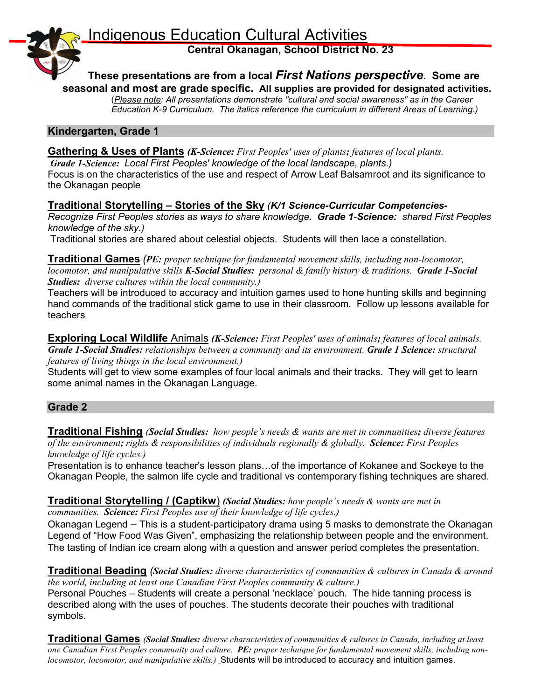**Indigenous Education Cultural Activities** 

**Central Okanagan, School District No. 23**



**These presentations are from a local** *First Nations perspective***. Some are seasonal and most are grade specific. All supplies are provided for designated activities.**

(*Please note: All presentations demonstrate "cultural and social awareness" as in the Career Education K-9 Curriculum. The italics reference the curriculum in different Areas of Learning.)* 

#### **Kindergarten, Grade 1**

#### **Gathering & Uses of Plants** *(K-Science: First Peoples' uses of plants; features of local plants.*

*Grade 1-Science: Local First Peoples' knowledge of the local landscape, plants.)* Focus is on the characteristics of the use and respect of Arrow Leaf Balsamroot and its significance to the Okanagan people

#### **Traditional Storytelling – Stories of the Sky** *(K/1 Science-Curricular Competencies-*

*Recognize First Peoples stories as ways to share knowledge. Grade 1-Science: shared First Peoples knowledge of the sky.)*

Traditional stories are shared about celestial objects. Students will then lace a constellation.

**Traditional Games** *(PE: proper technique for fundamental movement skills, including non-locomotor, locomotor, and manipulative skills K-Social Studies: personal & family history & traditions. Grade 1-Social Studies: diverse cultures within the local community.)*

Teachers will be introduced to accuracy and intuition games used to hone hunting skills and beginning hand commands of the traditional stick game to use in their classroom. Follow up lessons available for teachers

**Exploring Local Wildlife** Animals *(K-Science: First Peoples' uses of animals; features of local animals. Grade 1-Social Studies: relationships between a community and its environment. Grade 1 Science: structural features of living things in the local environment.)*

Students will get to view some examples of four local animals and their tracks. They will get to learn some animal names in the Okanagan Language.

### **Grade 2**

**Traditional Fishing** *(Social Studies: how people's needs & wants are met in communities; diverse features of the environment; rights & responsibilities of individuals regionally & globally. Science: First Peoples knowledge of life cycles.)*

Presentation is to enhance teacher's lesson plans…of the importance of Kokanee and Sockeye to the Okanagan People, the salmon life cycle and traditional vs contemporary fishing techniques are shared.

#### **Traditional Storytelling / (Captikw**) *(Social Studies: how people's needs & wants are met in communities. Science: First Peoples use of their knowledge of life cycles.)*

Okanagan Legend – This is a student-participatory drama using 5 masks to demonstrate the Okanagan Legend of "How Food Was Given", emphasizing the relationship between people and the environment. The tasting of Indian ice cream along with a question and answer period completes the presentation.

**Traditional Beading** *(Social Studies: diverse characteristics of communities & cultures in Canada & around the world, including at least one Canadian First Peoples community & culture.)*

Personal Pouches – Students will create a personal 'necklace' pouch. The hide tanning process is described along with the uses of pouches. The students decorate their pouches with traditional symbols.

**Traditional Games** *(Social Studies: diverse characteristics of communities & cultures in Canada, including at least one Canadian First Peoples community and culture. PE: proper technique for fundamental movement skills, including nonlocomotor, locomotor, and manipulative skills.)* Students will be introduced to accuracy and intuition games.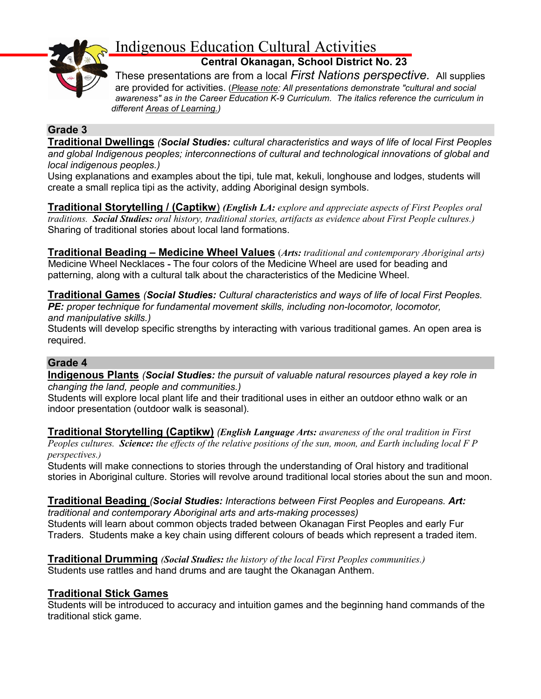

# Indigenous Education Cultural Activities

**Central Okanagan, School District No. 23**

These presentations are from a local *First Nations perspective.* All supplies are provided for activities. (*Please note: All presentations demonstrate "cultural and social awareness" as in the Career Education K-9 Curriculum. The italics reference the curriculum in different Areas of Learning.)* 

## **Grade 3**

**Traditional Dwellings** *(Social Studies: cultural characteristics and ways of life of local First Peoples and global Indigenous peoples; interconnections of cultural and technological innovations of global and local indigenous peoples.)*

Using explanations and examples about the tipi, tule mat, kekuli, longhouse and lodges, students will create a small replica tipi as the activity, adding Aboriginal design symbols.

**Traditional Storytelling / (Captikw**) *(English LA: explore and appreciate aspects of First Peoples oral traditions. Social Studies: oral history, traditional stories, artifacts as evidence about First People cultures.)* Sharing of traditional stories about local land formations.

**Traditional Beading – Medicine Wheel Values** (*Arts: traditional and contemporary Aboriginal arts)* Medicine Wheel Necklaces **-** The four colors of the Medicine Wheel are used for beading and patterning, along with a cultural talk about the characteristics of the Medicine Wheel.

**Traditional Games** *(Social Studies: Cultural characteristics and ways of life of local First Peoples. PE: proper technique for fundamental movement skills, including non-locomotor, locomotor, and manipulative skills.)*

Students will develop specific strengths by interacting with various traditional games. An open area is required.

### **Grade 4**

**Indigenous Plants** *(Social Studies: the pursuit of valuable natural resources played a key role in changing the land, people and communities.)*

Students will explore local plant life and their traditional uses in either an outdoor ethno walk or an indoor presentation (outdoor walk is seasonal).

**Traditional Storytelling (Captikw)** *(English Language Arts: awareness of the oral tradition in First Peoples cultures. Science: the effects of the relative positions of the sun, moon, and Earth including local F P perspectives.)*

Students will make connections to stories through the understanding of Oral history and traditional stories in Aboriginal culture. Stories will revolve around traditional local stories about the sun and moon.

#### **Traditional Beading** *(Social Studies: Interactions between First Peoples and Europeans. Art: traditional and contemporary Aboriginal arts and arts-making processes)*

Students will learn about common objects traded between Okanagan First Peoples and early Fur Traders. Students make a key chain using different colours of beads which represent a traded item.

**Traditional Drumming** *(Social Studies: the history of the local First Peoples communities.)* Students use rattles and hand drums and are taught the Okanagan Anthem.

### **Traditional Stick Games**

Students will be introduced to accuracy and intuition games and the beginning hand commands of the traditional stick game.